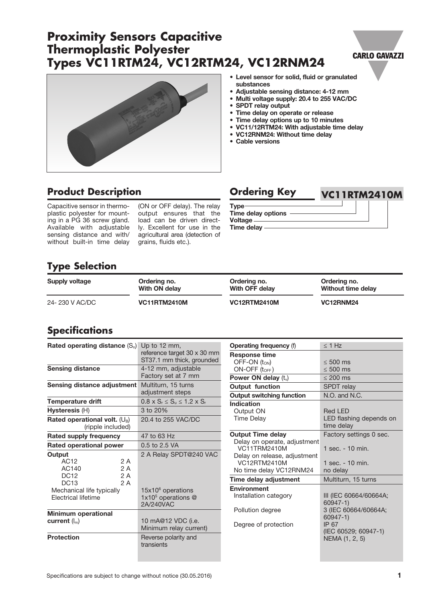#### Specifications are subject to change without notice (30.05.2016) **1 1**

# **Proximity Sensors Capacitive Thermoplastic Polyester Types VC11RTM24, VC12RTM24, VC12RNM24**

#### • Level sensor for solid, fluid or granulated substances

- Adjustable sensing distance: 4-12 mm
- Multi voltage supply: 20.4 to 255 VAC/DC
- SPDT relay output
- Time delay on operate or release
- Time delay options up to 10 minutes
- VC11/12RTM24: With adjustable time delay
- VC12RNM24: Without time delay
- Cable versions

## **Product Description Calcularies Condering Key <b>VC11RTM2410M**

Capacitive sensor in thermoplastic polyester for mounting in a PG 36 screw gland. Available with adjustable sensing distance and with/ without built-in time delay

(ON or OFF delay). The relay output ensures that the load can be driven directly. Excellent for use in the agricultural area (detection of grains, fluids etc.).

#### Type Time delay options Voltage

Time delay

# **Type Selection**

| Supply voltage | Ordering no.        | Ordering no.        | Ordering no.       |
|----------------|---------------------|---------------------|--------------------|
|                | With ON delay       | With OFF delay      | Without time delay |
| 24-230 V AC/DC | <b>VC11RTM2410M</b> | <b>VC12RTM2410M</b> | VC12RNM24          |

# **Specifications**

| <b>Rated operating distance</b> $(S_n)$ Up to 12 mm, |                                                             | <b>Operating frequency (f)</b>                                                 | $\leq 1$ Hz                                                    |
|------------------------------------------------------|-------------------------------------------------------------|--------------------------------------------------------------------------------|----------------------------------------------------------------|
|                                                      | reference target 30 x 30 mm<br>ST37.1 mm thick, grounded    | <b>Response time</b><br>OFF-ON $(t_{ON})$                                      | $\leq 500$ ms                                                  |
| <b>Sensing distance</b>                              | 4-12 mm, adjustable                                         | $ON-OFF$ ( $t_{OFF}$ )                                                         | $\leq 500$ ms                                                  |
|                                                      | Factory set at 7 mm                                         | Power ON delay $(t_v)$                                                         | $\leq 200$ ms                                                  |
| Sensing distance adjustment                          | Multiturn, 15 turns<br>adjustment steps                     | Output function                                                                | <b>SPDT</b> relay                                              |
|                                                      |                                                             | <b>Output switching function</b>                                               | N.O. and N.C.                                                  |
| <b>Temperature drift</b>                             | $0.8 \times S_r \leq S_u \leq 1.2 \times S_r$               | <b>Indication</b>                                                              |                                                                |
| $H$ ysteresis $(H)$                                  | 3 to 20%                                                    | Output ON                                                                      | <b>Red LED</b>                                                 |
| Rated operational volt. $(U_B)$<br>(ripple included) | 20.4 to 255 VAC/DC                                          | <b>Time Delay</b>                                                              | LED flashing depends on<br>time delay                          |
| <b>Rated supply frequency</b>                        | 47 to 63 Hz                                                 | <b>Output Time delay</b>                                                       | Factory settings 0 sec.                                        |
| Rated operational power                              | 0.5 to 2.5 VA                                               | Delay on operate, adjustment<br><b>VC11TRM2410M</b>                            | 1 sec. - 10 min.                                               |
| Output<br>2 A<br>AC12<br>2 A<br>AC140                | 2 A Relay SPDT@240 VAC                                      | Delay on release, adjustment<br><b>VC12RTM2410M</b><br>No time delay VC12RNM24 | 1 sec. - 10 min.<br>no delay                                   |
| <b>DC12</b><br>2 A<br><b>DC13</b><br>2 A             |                                                             | Time delay adjustment                                                          | Multiturn, 15 turns                                            |
| Mechanical life typically<br>Electrical lifetime     | $15x106$ operations<br>1x10 $5$ operations $@$<br>2A/240VAC | <b>Environment</b><br>Installation category                                    | III (IEC 60664/60664A;<br>$60947 - 1$                          |
| <b>Minimum operational</b>                           |                                                             | Pollution degree                                                               | 3 (IEC 60664/60664A;                                           |
| current $(I_m)$                                      | 10 mA@12 VDC (i.e.<br>Minimum relay current)                | Degree of protection                                                           | $60947 - 1$<br>IP 67<br>(IEC 60529; 60947-1)<br>NEMA (1, 2, 5) |
| <b>Protection</b>                                    | Reverse polarity and<br>transients                          |                                                                                |                                                                |



**CARLO GAVAZZI**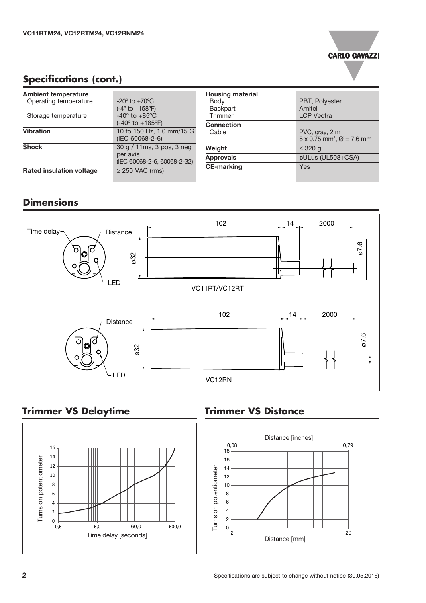

# **Specifications (cont.)**

| <b>Ambient temperature</b>      |                                                                                                             | <b>Housing material</b>    |                                                                            |
|---------------------------------|-------------------------------------------------------------------------------------------------------------|----------------------------|----------------------------------------------------------------------------|
| Operating temperature           | $-20^{\circ}$ to $+70^{\circ}$ C                                                                            | Body                       | PBT, Polyester                                                             |
| Storage temperature             | $(-4^{\circ}$ to $+158^{\circ}F)$<br>$-40^{\circ}$ to $+85^{\circ}$ C<br>$(-40^{\circ}$ to $+185^{\circ}F)$ | Backpart<br><b>Trimmer</b> | Arnitel<br><b>LCP</b> Vectra                                               |
|                                 |                                                                                                             | <b>Connection</b>          |                                                                            |
| <b>Vibration</b>                | 10 to 150 Hz, 1.0 mm/15 G<br>(IEC 60068-2-6)                                                                | Cable                      | PVC, gray, 2 m<br>$5 \times 0.75$ mm <sup>2</sup> , $\varnothing$ = 7.6 mm |
| <b>Shock</b>                    | 30 g / 11ms, 3 pos, 3 neg<br>per axis<br>(IEC 60068-2-6, 60068-2-32)                                        | Weight                     | $\leq$ 320 g                                                               |
|                                 |                                                                                                             | <b>Approvals</b>           | cULus (UL508+CSA)                                                          |
| <b>Rated insulation voltage</b> | $\geq$ 250 VAC (rms)                                                                                        | <b>CE-marking</b>          | Yes                                                                        |

# **Dimensions**



# **Trimmer VS Delaytime**



### **Trimmer VS Distance**

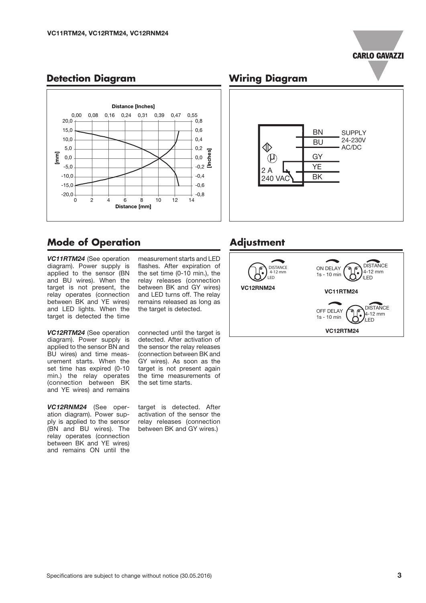# **CARLO GAVAZZI**

#### 0,00 0,08 0,16 0,24 0,31 0,39 0,47 0,55 Distance [Inches] -0,8 -0,6 -0,4  $-0.2$  를 0,0 0,2 0,4 0,6 0,8 ches] 0 2 4 6 8 10 12 14 Distance [mm]  $-20,0<sup>1</sup>$  $-15.0$ -10,0 -5,0 0,0 5,0 10,0 15,0 20,0 Ξ. ፔ

#### **Detection Diagram**

## **Mode of Operation**

*VC11RTM24* (See operation diagram). Power supply is applied to the sensor (BN and BU wires). When the target is not present, the relay operates (connection between BK and YE wires) and LED lights. When the target is detected the time

*VC12RTM24* (See operation diagram). Power supply is applied to the sensor BN and BU wires) and time measurement starts. When the set time has expired (0-10 min.) the relay operates (connection between BK and YE wires) and remains

*VC12RNM24* (See operation diagram). Power supply is applied to the sensor (BN and BU wires). The relay operates (connection between BK and YE wires) and remains ON until the

measurement starts and LED flashes. After expiration of the set time (0-10 min.), the relay releases (connection between BK and GY wires) and LED turns off. The relay remains released as long as the target is detected.

connected until the target is detected. After activation of the sensor the relay releases (connection between BK and GY wires). As soon as the target is not present again the time measurements of the set time starts.

target is detected. After activation of the sensor the relay releases (connection between BK and GY wires.)

#### **Wiring Diagram**



#### **Adjustment**